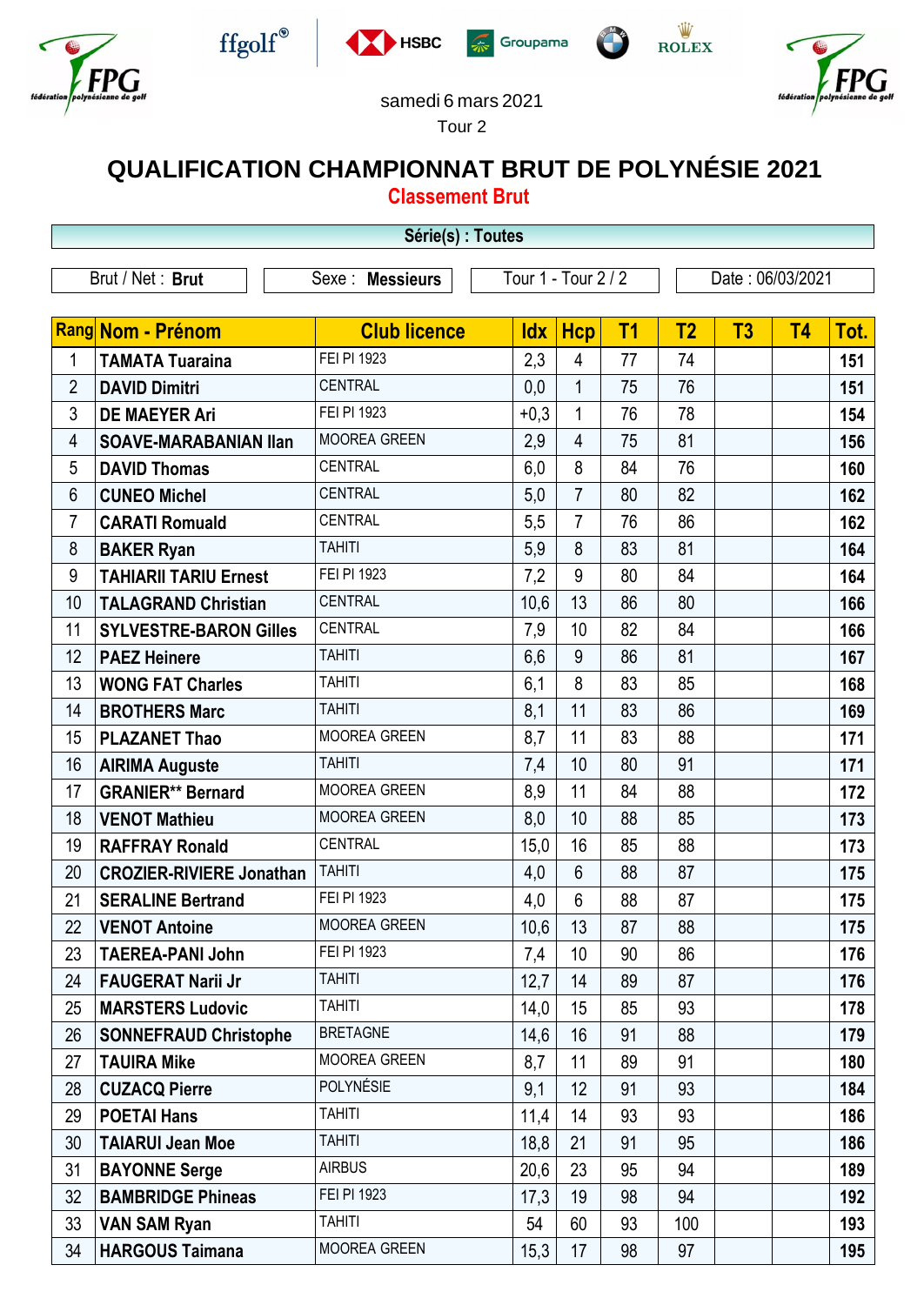











## samedi 6 mars 2021

Tour 2

## **QUALIFICATION CHAMPIONNAT BRUT DE POLYNÉSIE 2021**

**Classement Brut**

|                |                                                                                 | Série(s) : Toutes   |            |                |           |                |    |                |      |
|----------------|---------------------------------------------------------------------------------|---------------------|------------|----------------|-----------|----------------|----|----------------|------|
|                | Tour 1 - Tour 2 / 2<br>Brut / Net: Brut<br>Sexe : Messieurs<br>Date: 06/03/2021 |                     |            |                |           |                |    |                |      |
|                |                                                                                 |                     |            |                |           |                |    |                |      |
|                | Rang Nom - Prénom                                                               | <b>Club licence</b> | <b>Idx</b> | <b>Hcp</b>     | <b>T1</b> | T <sub>2</sub> | T3 | T <sub>4</sub> | Tot. |
| 1              | <b>TAMATA Tuaraina</b>                                                          | FEI PI 1923         | 2,3        | $\overline{4}$ | 77        | 74             |    |                | 151  |
| $\overline{2}$ | <b>DAVID Dimitri</b>                                                            | <b>CENTRAL</b>      | 0,0        | $\mathbf 1$    | 75        | 76             |    |                | 151  |
| 3              | <b>DE MAEYER Ari</b>                                                            | FEI PI 1923         | $+0,3$     | $\mathbf{1}$   | 76        | 78             |    |                | 154  |
| $\overline{4}$ | <b>SOAVE-MARABANIAN IIan</b>                                                    | MOOREA GREEN        | 2,9        | $\overline{4}$ | 75        | 81             |    |                | 156  |
| 5              | <b>DAVID Thomas</b>                                                             | <b>CENTRAL</b>      | 6,0        | 8              | 84        | 76             |    |                | 160  |
| 6              | <b>CUNEO Michel</b>                                                             | <b>CENTRAL</b>      | 5,0        | $\overline{7}$ | 80        | 82             |    |                | 162  |
| $\overline{7}$ | <b>CARATI Romuald</b>                                                           | <b>CENTRAL</b>      | 5,5        | 7              | 76        | 86             |    |                | 162  |
| 8              | <b>BAKER Ryan</b>                                                               | <b>TAHITI</b>       | 5,9        | 8              | 83        | 81             |    |                | 164  |
| 9              | <b>TAHIARII TARIU Ernest</b>                                                    | FEI PI 1923         | 7,2        | 9              | 80        | 84             |    |                | 164  |
| 10             | <b>TALAGRAND Christian</b>                                                      | <b>CENTRAL</b>      | 10,6       | 13             | 86        | 80             |    |                | 166  |
| 11             | <b>SYLVESTRE-BARON Gilles</b>                                                   | <b>CENTRAL</b>      | 7,9        | 10             | 82        | 84             |    |                | 166  |
| 12             | <b>PAEZ Heinere</b>                                                             | <b>TAHITI</b>       | 6,6        | 9              | 86        | 81             |    |                | 167  |
| 13             | <b>WONG FAT Charles</b>                                                         | <b>TAHITI</b>       | 6,1        | 8              | 83        | 85             |    |                | 168  |
| 14             | <b>BROTHERS Marc</b>                                                            | <b>TAHITI</b>       | 8,1        | 11             | 83        | 86             |    |                | 169  |
| 15             | <b>PLAZANET Thao</b>                                                            | <b>MOOREA GREEN</b> | 8,7        | 11             | 83        | 88             |    |                | 171  |
| 16             | <b>AIRIMA Auguste</b>                                                           | <b>TAHITI</b>       | 7,4        | 10             | 80        | 91             |    |                | 171  |
| 17             | <b>GRANIER** Bernard</b>                                                        | MOOREA GREEN        | 8,9        | 11             | 84        | 88             |    |                | 172  |
| 18             | <b>VENOT Mathieu</b>                                                            | MOOREA GREEN        | 8,0        | 10             | 88        | 85             |    |                | 173  |
| 19             | <b>RAFFRAY Ronald</b>                                                           | <b>CENTRAL</b>      | 15,0       | 16             | 85        | 88             |    |                | 173  |
| 20             | <b>CROZIER-RIVIERE Jonathan</b>                                                 | <b>TAHITI</b>       | 4,0        | 6              | 88        | 87             |    |                | 175  |
| 21             | <b>SERALINE Bertrand</b>                                                        | FEI PI 1923         | 4,0        | 6              | 88        | 87             |    |                | 175  |
| 22             | <b>VENOT Antoine</b>                                                            | MOOREA GREEN        | 10,6       | 13             | 87        | 88             |    |                | 175  |
| 23             | <b>TAEREA-PANI John</b>                                                         | FEI PI 1923         | 7,4        | 10             | 90        | 86             |    |                | 176  |
| 24             | <b>FAUGERAT Narii Jr</b>                                                        | <b>TAHITI</b>       | 12,7       | 14             | 89        | 87             |    |                | 176  |
| 25             | <b>MARSTERS Ludovic</b>                                                         | <b>TAHITI</b>       | 14,0       | 15             | 85        | 93             |    |                | 178  |
| 26             | <b>SONNEFRAUD Christophe</b>                                                    | <b>BRETAGNE</b>     | 14,6       | 16             | 91        | 88             |    |                | 179  |
| 27             | <b>TAUIRA Mike</b>                                                              | MOOREA GREEN        | 8,7        | 11             | 89        | 91             |    |                | 180  |
| 28             | <b>CUZACQ Pierre</b>                                                            | <b>POLYNÉSIE</b>    | 9,1        | 12             | 91        | 93             |    |                | 184  |
| 29             | <b>POETAI Hans</b>                                                              | <b>TAHITI</b>       | 11,4       | 14             | 93        | 93             |    |                | 186  |
| 30             | <b>TAIARUI Jean Moe</b>                                                         | <b>TAHITI</b>       | 18,8       | 21             | 91        | 95             |    |                | 186  |
| 31             | <b>BAYONNE Serge</b>                                                            | <b>AIRBUS</b>       | 20,6       | 23             | 95        | 94             |    |                | 189  |
| 32             | <b>BAMBRIDGE Phineas</b>                                                        | FEI PI 1923         | 17,3       | 19             | 98        | 94             |    |                | 192  |
| 33             | <b>VAN SAM Ryan</b>                                                             | <b>TAHITI</b>       | 54         | 60             | 93        | 100            |    |                | 193  |
| 34             | <b>HARGOUS Taimana</b>                                                          | MOOREA GREEN        | 15,3       | 17             | 98        | 97             |    |                | 195  |